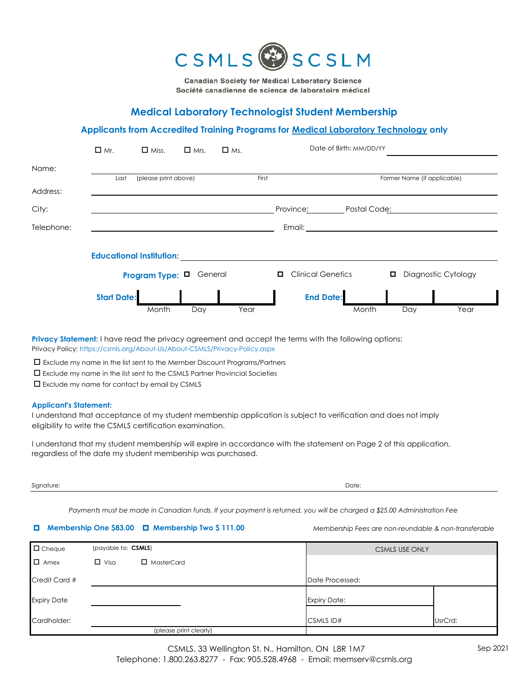

**Canadian Society for Medical Laboratory Science** Société canadienne de science de laboratoire médical

# **Medical Laboratory Technologist Student Membership**

#### **Applicants from Accredited Training Programs for Medical Laboratory Technology only**

|            | $\Box$ Mr.         | $\Box$ Miss.                    | $\Box$ Mrs. | $\Box$ Ms. |       |                          | Date of Birth: MM/DD/YY |              |                             |                     |  |
|------------|--------------------|---------------------------------|-------------|------------|-------|--------------------------|-------------------------|--------------|-----------------------------|---------------------|--|
| Name:      |                    |                                 |             |            |       |                          |                         |              |                             |                     |  |
|            | Last               | (please print above)            |             |            | First |                          |                         |              | Former Name (if applicable) |                     |  |
| Address:   |                    |                                 |             |            |       |                          |                         |              |                             |                     |  |
| City:      |                    |                                 |             |            |       | Province:                |                         | Postal Code: |                             |                     |  |
| Telephone: |                    |                                 |             |            |       | Email:                   |                         |              |                             |                     |  |
|            |                    |                                 |             |            |       |                          |                         |              |                             |                     |  |
|            |                    | <b>Educational Institution:</b> |             |            |       |                          |                         |              |                             |                     |  |
|            |                    | Program Type: $\Box$            | General     |            |       | <b>Clinical Genetics</b> |                         |              |                             | Diagnostic Cytology |  |
|            | <b>Start Date:</b> |                                 |             |            |       | <b>End Date:</b>         |                         |              |                             |                     |  |
|            |                    | Month                           | Day         | Year       |       |                          |                         | Month        | Day                         | Year                |  |

**Privacy Statement:** I have read the privacy agreement and accept the terms with the following options: Privacy Policy: https://csmls.org/About-Us/About-CSMLS/Privacy-Policy.aspx

 $\Box$  Exclude my name in the list sent to the Member Discount Programs/Partners

 $\Box$  Exclude my name in the list sent to the CSMLS Partner Provincial Societies

 $\square$  Exclude my name for contact by email by CSMLS

#### **Applicant's Statement:**

I understand that acceptance of my student membership application is subject to verification and does not imply eligibility to write the CSMLS certification examination.

I understand that my student membership will expire in accordance with the statement on Page 2 of this application, regardless of the date my student membership was purchased.

| Signature: | Date: |
|------------|-------|
|------------|-------|

*Payments must be made in Canadian funds. If your payment is returned, you will be charged a \$25.00 Administration Fee*

### p **Membership One \$83.00** p **Membership Two \$ 111.00**

*Membership Fees are non-reundable & non-transferable*

| $\Box$ Cheque      | (payable to: CSMLS) |                        | <b>CSMLS USE ONLY</b> |                     |         |
|--------------------|---------------------|------------------------|-----------------------|---------------------|---------|
| $\Box$ Amex        | $\Box$ Visa         | $\Box$ MasterCard      |                       |                     |         |
| Credit Card #      |                     |                        |                       | Date Processed:     |         |
| <b>Expiry Date</b> |                     |                        |                       | <b>Expiry Date:</b> |         |
| Cardholder:        |                     |                        |                       | <b>CSMLSID#</b>     | UsrCrd: |
|                    |                     | (please print clearly) |                       |                     |         |